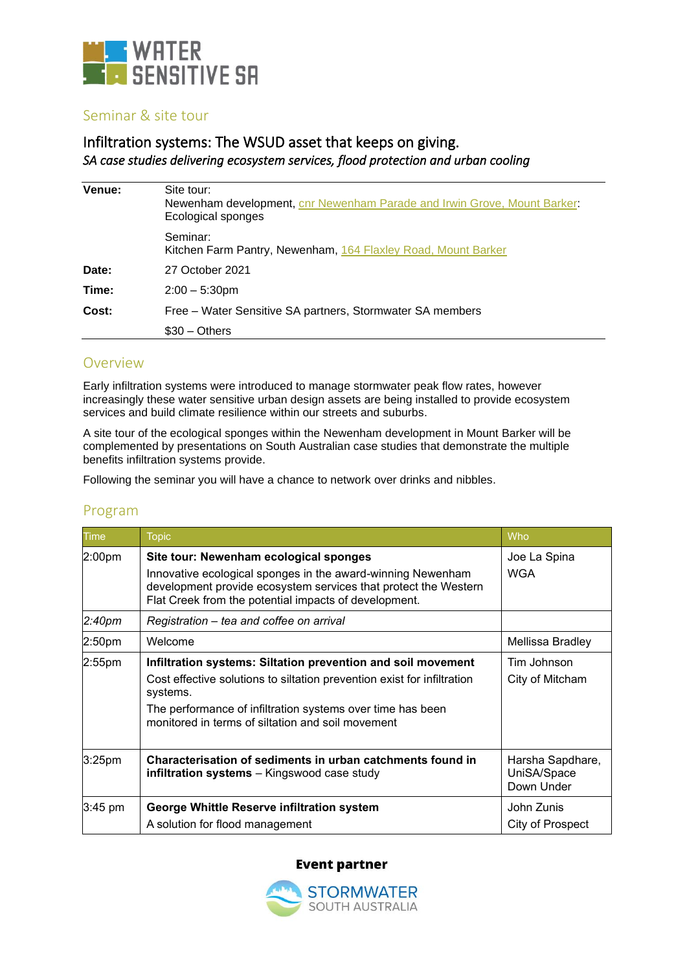

## Seminar & site tour

# Infiltration systems: The WSUD asset that keeps on giving. *SA case studies delivering ecosystem services, flood protection and urban cooling*

| Venue: | Site tour:<br>Newenham development, cnr Newenham Parade and Irwin Grove, Mount Barker:<br>Ecological sponges |
|--------|--------------------------------------------------------------------------------------------------------------|
|        | Seminar:<br>Kitchen Farm Pantry, Newenham, 164 Flaxley Road, Mount Barker                                    |
| Date:  | 27 October 2021                                                                                              |
| Time:  | $2:00 - 5:30$ pm                                                                                             |
| Cost:  | Free – Water Sensitive SA partners, Stormwater SA members                                                    |
|        | $$30 - Others$                                                                                               |

## Overview

Early infiltration systems were introduced to manage stormwater peak flow rates, however increasingly these water sensitive urban design assets are being installed to provide ecosystem services and build climate resilience within our streets and suburbs.

A site tour of the ecological sponges within the Newenham development in Mount Barker will be complemented by presentations on South Australian case studies that demonstrate the multiple benefits infiltration systems provide.

Following the seminar you will have a chance to network over drinks and nibbles.

# Program

| <b>Time</b>        | <b>Topic</b>                                                                                                                                                                                                                                                           | Who                                           |
|--------------------|------------------------------------------------------------------------------------------------------------------------------------------------------------------------------------------------------------------------------------------------------------------------|-----------------------------------------------|
| 2:00pm             | Site tour: Newenham ecological sponges<br>Innovative ecological sponges in the award-winning Newenham<br>development provide ecosystem services that protect the Western<br>Flat Creek from the potential impacts of development.                                      | Joe La Spina<br><b>WGA</b>                    |
| 2:40 <sub>pm</sub> | Registration – tea and coffee on arrival                                                                                                                                                                                                                               |                                               |
| 2:50 <sub>pm</sub> | Welcome                                                                                                                                                                                                                                                                | Mellissa Bradley                              |
| $2:55$ pm          | Infiltration systems: Siltation prevention and soil movement<br>Cost effective solutions to siltation prevention exist for infiltration<br>systems.<br>The performance of infiltration systems over time has been<br>monitored in terms of siltation and soil movement | Tim Johnson<br>City of Mitcham                |
| 3:25pm             | Characterisation of sediments in urban catchments found in<br><b>infiltration systems</b> – Kingswood case study                                                                                                                                                       | Harsha Sapdhare,<br>UniSA/Space<br>Down Under |
| 3:45 pm            | George Whittle Reserve infiltration system<br>A solution for flood management                                                                                                                                                                                          | John Zunis<br>City of Prospect                |

### **Event partner**

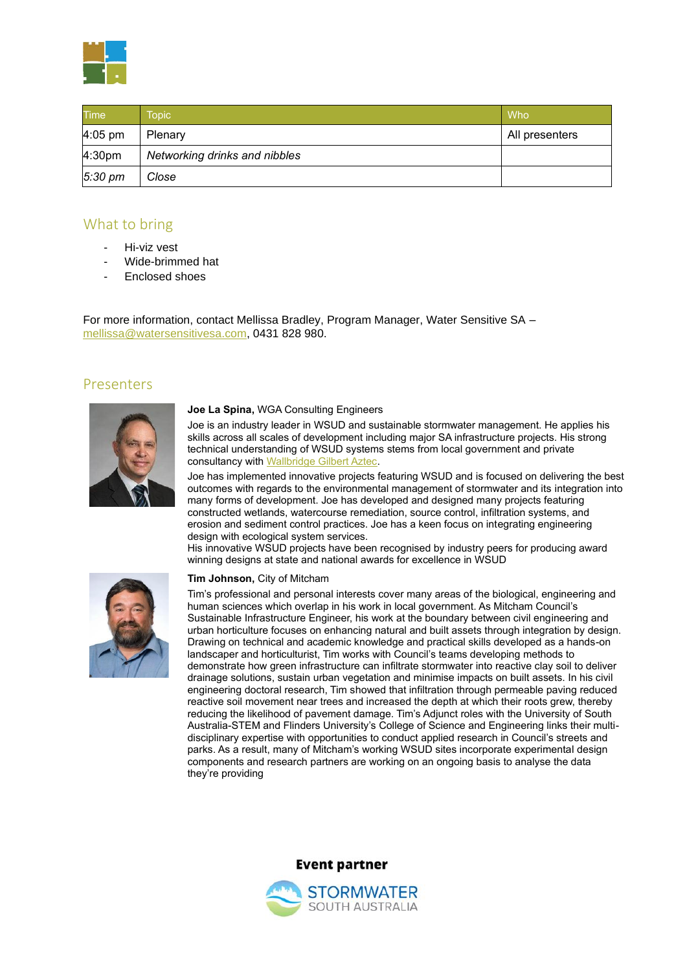

| <b>Time</b>       | Topic                         | Who            |
|-------------------|-------------------------------|----------------|
| $4:05$ pm         | Plenary                       | All presenters |
| 4:30pm            | Networking drinks and nibbles |                |
| $5:30 \text{ pm}$ | Close                         |                |

# What to bring

- Hi-viz vest
- Wide-brimmed hat
- Enclosed shoes

For more information, contact Mellissa Bradley, Program Manager, Water Sensitive SA – [mellissa@watersensitivesa.com,](mailto:mellissa@watersensitivesa.com) 0431 828 980.

# Presenters



### **Joe La Spina,** WGA Consulting Engineers

Joe is an industry leader in WSUD and sustainable stormwater management. He applies his skills across all scales of development including major SA infrastructure projects. His strong technical understanding of WSUD systems stems from local government and private consultancy with [Wallbridge Gilbert Aztec.](https://wga.com.au/)

Joe has implemented innovative projects featuring WSUD and is focused on delivering the best outcomes with regards to the environmental management of stormwater and its integration into many forms of development. Joe has developed and designed many projects featuring constructed wetlands, watercourse remediation, source control, infiltration systems, and erosion and sediment control practices. Joe has a keen focus on integrating engineering design with ecological system services.

His innovative WSUD projects have been recognised by industry peers for producing award winning designs at state and national awards for excellence in WSUD



### **Tim Johnson,** City of Mitcham

Tim's professional and personal interests cover many areas of the biological, engineering and human sciences which overlap in his work in local government. As Mitcham Council's Sustainable Infrastructure Engineer, his work at the boundary between civil engineering and urban horticulture focuses on enhancing natural and built assets through integration by design. Drawing on technical and academic knowledge and practical skills developed as a hands-on landscaper and horticulturist, Tim works with Council's teams developing methods to demonstrate how green infrastructure can infiltrate stormwater into reactive clay soil to deliver drainage solutions, sustain urban vegetation and minimise impacts on built assets. In his civil engineering doctoral research, Tim showed that infiltration through permeable paving reduced reactive soil movement near trees and increased the depth at which their roots grew, thereby reducing the likelihood of pavement damage. Tim's Adjunct roles with the University of South Australia-STEM and Flinders University's College of Science and Engineering links their multidisciplinary expertise with opportunities to conduct applied research in Council's streets and parks. As a result, many of Mitcham's working WSUD sites incorporate experimental design components and research partners are working on an ongoing basis to analyse the data they're providing



**Event partner**